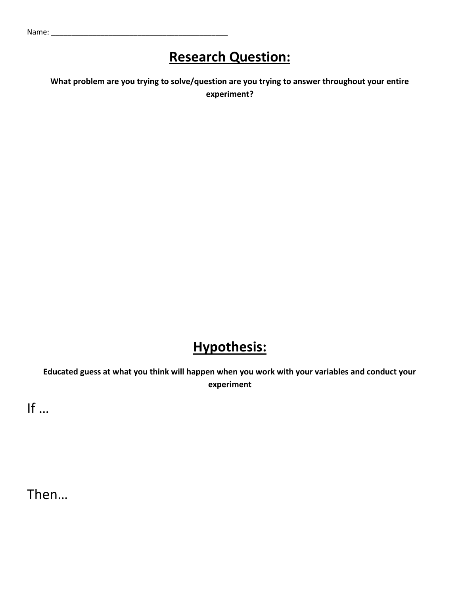#### **Research Question:**

**What problem are you trying to solve/question are you trying to answer throughout your entire experiment?**

### **Hypothesis:**

**Educated guess at what you think will happen when you work with your variables and conduct your experiment**

If …

Then…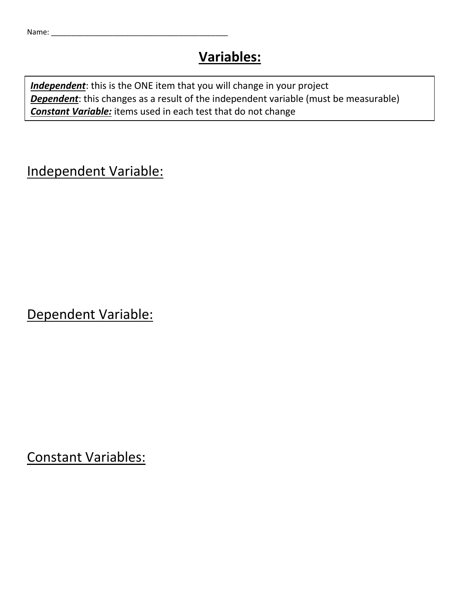#### **Variables:**

*Independent*: this is the ONE item that you will change in your project **Dependent**: this changes as a result of the independent variable (must be measurable) *Constant Variable:* items used in each test that do not change

Independent Variable:

Dependent Variable:

Constant Variables: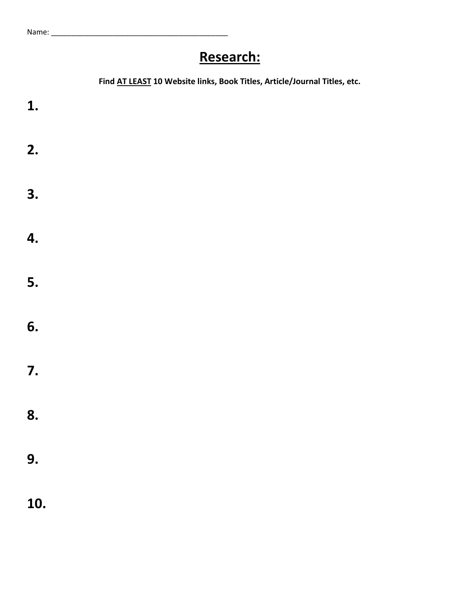## **Research:**

|     | Find AT LEAST 10 Website links, Book Titles, Article/Journal Titles, etc. |
|-----|---------------------------------------------------------------------------|
| 1.  |                                                                           |
| 2.  |                                                                           |
| 3.  |                                                                           |
| 4.  |                                                                           |
| 5.  |                                                                           |
| 6.  |                                                                           |
| 7.  |                                                                           |
| 8.  |                                                                           |
| 9.  |                                                                           |
| 10. |                                                                           |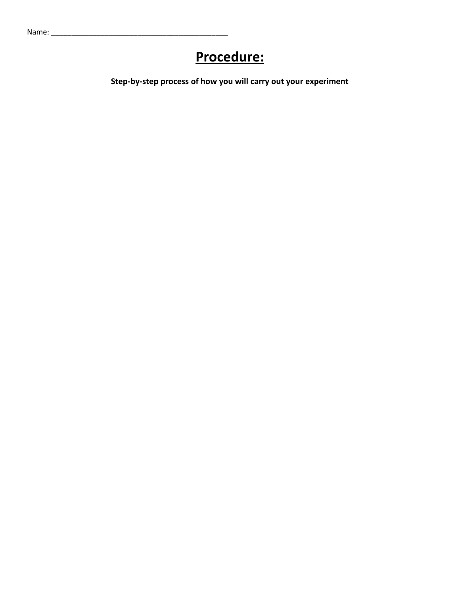#### **Procedure:**

**Step-by-step process of how you will carry out your experiment**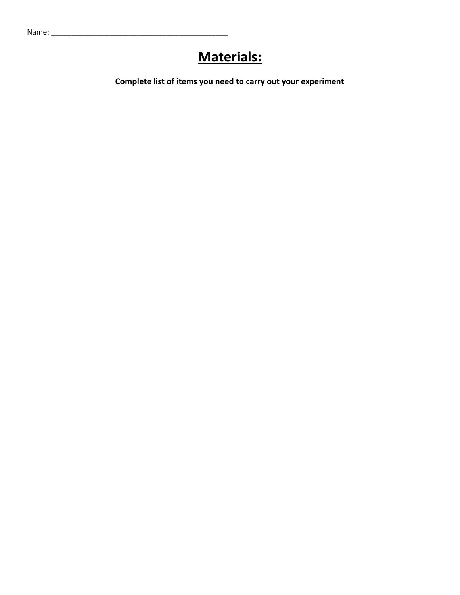#### **Materials:**

**Complete list of items you need to carry out your experiment**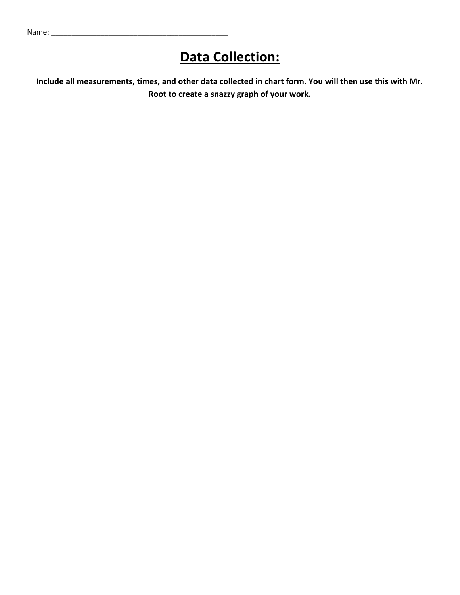#### **Data Collection:**

**Include all measurements, times, and other data collected in chart form. You will then use this with Mr. Root to create a snazzy graph of your work.**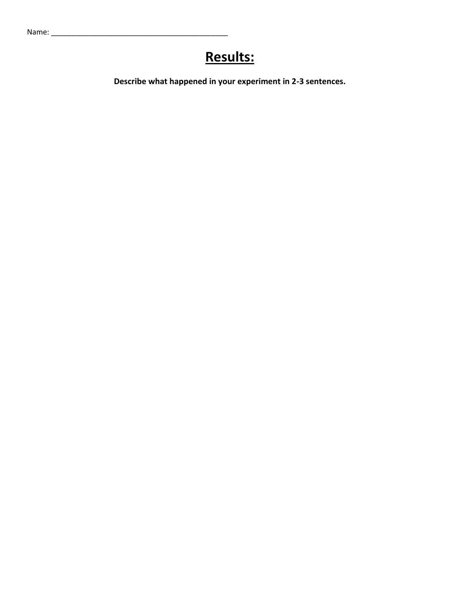# **Results:**

**Describe what happened in your experiment in 2-3 sentences.**